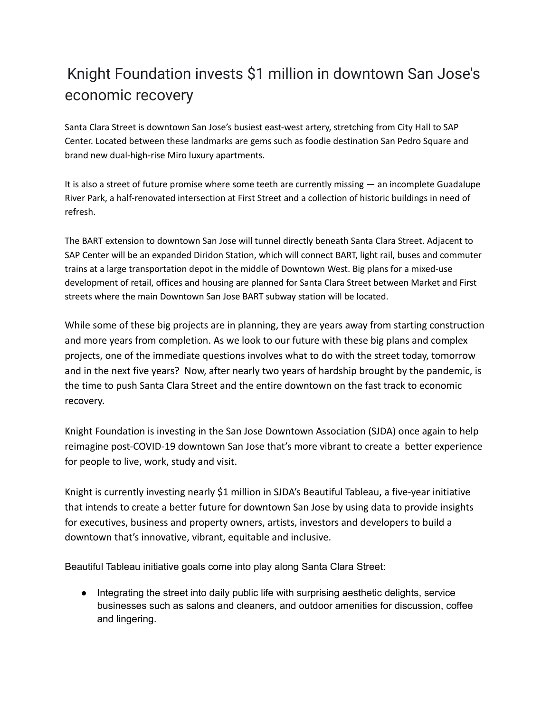## Knight Foundation invests \$1 million in downtown San Jose's economic recovery

Santa Clara Street is downtown San Jose's busiest east-west artery, stretching from City Hall to SAP Center. Located between these landmarks are gems such as foodie destination San Pedro Square and brand new dual-high-rise Miro luxury apartments.

It is also a street of future promise where some teeth are currently missing — an incomplete Guadalupe River Park, a half-renovated intersection at First Street and a collection of historic buildings in need of refresh.

The BART extension to downtown San Jose will tunnel directly beneath Santa Clara Street. Adjacent to SAP Center will be an expanded Diridon Station, which will connect BART, light rail, buses and commuter trains at a large transportation depot in the middle of Downtown West. Big plans for a mixed-use development of retail, offices and housing are planned for Santa Clara Street between Market and First streets where the main Downtown San Jose BART subway station will be located.

While some of these big projects are in planning, they are years away from starting construction and more years from completion. As we look to our future with these big plans and complex projects, one of the immediate questions involves what to do with the street today, tomorrow and in the next five years? Now, after nearly two years of hardship brought by the pandemic, is the time to push Santa Clara Street and the entire downtown on the fast track to economic recovery.

Knight Foundation is investing in the San Jose Downtown Association (SJDA) once again to help reimagine post-COVID-19 downtown San Jose that's more vibrant to create a better experience for people to live, work, study and visit.

Knight is currently investing nearly \$1 million in SJDA's Beautiful Tableau, a five-year initiative that intends to create a better future for downtown San Jose by using data to provide insights for executives, business and property owners, artists, investors and developers to build a downtown that's innovative, vibrant, equitable and inclusive.

Beautiful Tableau initiative goals come into play along Santa Clara Street:

● Integrating the street into daily public life with surprising aesthetic delights, service businesses such as salons and cleaners, and outdoor amenities for discussion, coffee and lingering.